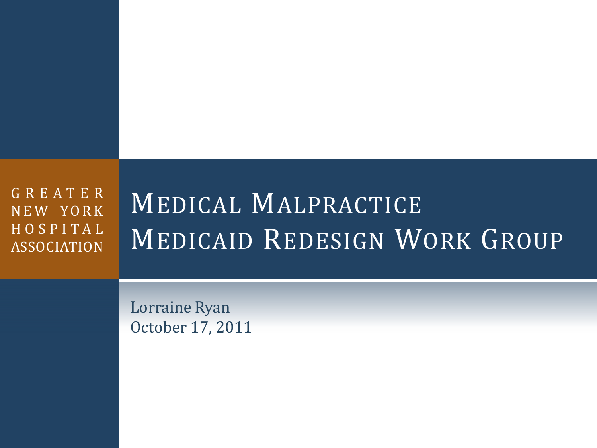G R E A T E R NEW YORK H O S P I T A L ASSOCIATION

# MEDICAL MALPRACTICE MEDICAID REDESIGN WORK GROUP

Lorraine Ryan October 17, 2011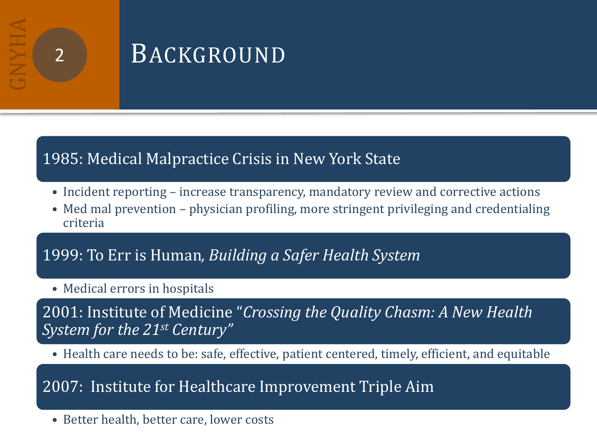## **BACKGROUND**

#### 1985: Medical Malpractice Crisis in New York State

- Incident reporting increase transparency, mandatory review and corrective actions
- Med mal prevention physician profiling, more stringent privileging and credentialing criteria

#### 1999: To Err is Human*, Building a Safer Health System*

• Medical errors in hospitals

2001: Institute of Medicine "*Crossing the Quality Chasm: A New Health System for the 21st Century"*

• Health care needs to be: safe, effective, patient centered, timely, efficient, and equitable

#### 2007: Institute for Healthcare Improvement Triple Aim

• Better health, better care, lower costs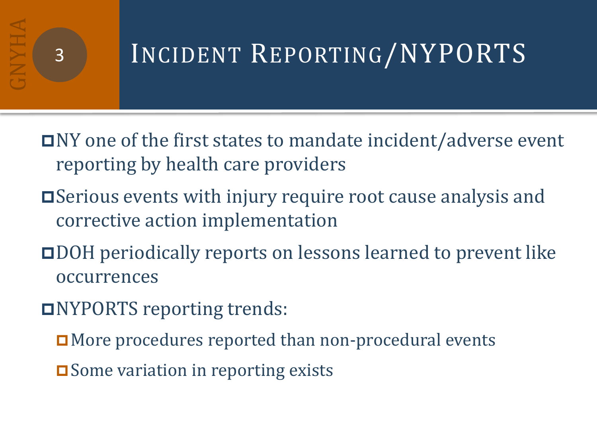# 3 INCIDENT REPORTING/NYPORTS

- $\blacksquare$ NY one of the first states to mandate incident/adverse event reporting by health care providers
- Serious events with injury require root cause analysis and corrective action implementation
- DOH periodically reports on lessons learned to prevent like occurrences
- NYPORTS reporting trends:
	- **□** More procedures reported than non-procedural events
	- **□** Some variation in reporting exists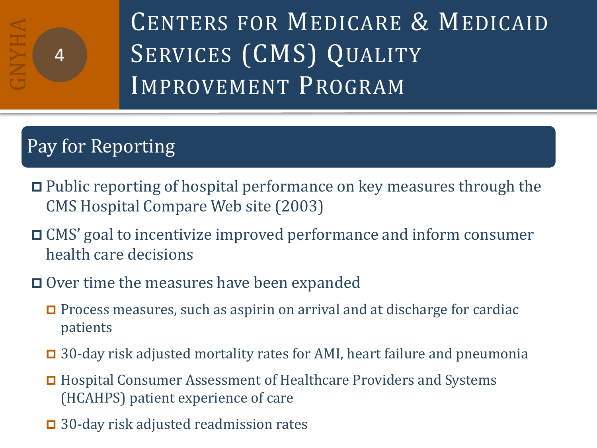

CENTERS FOR MEDICARE & MEDICAID SERVICES (CMS) QUALITY IMPROVEMENT PROGRAM

## Pay for Reporting

- Public reporting of hospital performance on key measures through the CMS Hospital Compare Web site (2003)
- CMS' goal to incentivize improved performance and inform consumer health care decisions
- **□** Over time the measures have been expanded
	- **P** Process measures, such as aspirin on arrival and at discharge for cardiac patients
	- $\Box$  30-day risk adjusted mortality rates for AMI, heart failure and pneumonia
	- Hospital Consumer Assessment of Healthcare Providers and Systems (HCAHPS) patient experience of care
	- 30-day risk adjusted readmission rates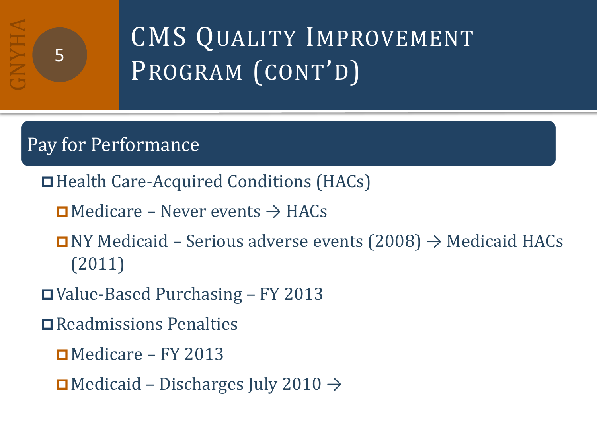# CMS QUALITY IMPROVEMENT PROGRAM (CONT'D)

## Pay for Performance

- Health Care-Acquired Conditions (HACs)
	- $\Box$  Medicare Never events  $\rightarrow$  HACs
	- $\Box$  NY Medicaid Serious adverse events (2008)  $\rightarrow$  Medicaid HACs (2011)
- Value-Based Purchasing FY 2013
- Readmissions Penalties
	- $\blacksquare$  Medicare FY 2013
	- $\Box$  Medicaid Discharges July 2010  $\rightarrow$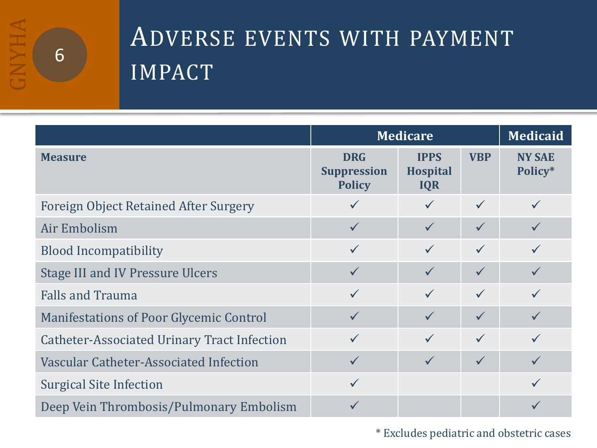

## ADVERSE EVENTS WITH PAYMENT IMPACT

|                                                    | <b>Medicare</b>                                   |                                              |              | <b>Medicaid</b>          |
|----------------------------------------------------|---------------------------------------------------|----------------------------------------------|--------------|--------------------------|
| <b>Measure</b>                                     | <b>DRG</b><br><b>Suppression</b><br><b>Policy</b> | <b>IPPS</b><br><b>Hospital</b><br><b>IQR</b> | <b>VBP</b>   | <b>NY SAE</b><br>Policy* |
| <b>Foreign Object Retained After Surgery</b>       |                                                   |                                              | $\checkmark$ |                          |
| Air Embolism                                       | $\checkmark$                                      | $\checkmark$                                 | $\checkmark$ |                          |
| <b>Blood Incompatibility</b>                       | $\checkmark$                                      | $\checkmark$                                 | $\checkmark$ |                          |
| <b>Stage III and IV Pressure Ulcers</b>            | $\checkmark$                                      | $\checkmark$                                 | $\checkmark$ |                          |
| <b>Falls and Trauma</b>                            | $\checkmark$                                      |                                              | $\checkmark$ |                          |
| <b>Manifestations of Poor Glycemic Control</b>     | $\checkmark$                                      |                                              | $\checkmark$ |                          |
| <b>Catheter-Associated Urinary Tract Infection</b> |                                                   | $\checkmark$                                 | $\checkmark$ |                          |
| Vascular Catheter-Associated Infection             | $\checkmark$                                      | $\checkmark$                                 | $\checkmark$ |                          |
| <b>Surgical Site Infection</b>                     | $\checkmark$                                      |                                              |              |                          |
| Deep Vein Thrombosis/Pulmonary Embolism            |                                                   |                                              |              |                          |

\* Excludes pediatric and obstetric cases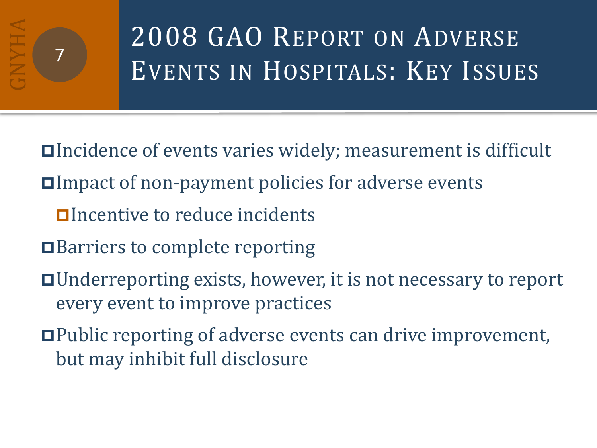# 2008 GAO REPORT ON ADVERSE EVENTS IN HOSPITALS: KEY ISSUES

Incidence of events varies widely; measurement is difficult

- Impact of non-payment policies for adverse events
	- **Olncentive to reduce incidents**
- **□Barriers to complete reporting**
- Underreporting exists, however, it is not necessary to report every event to improve practices
- Public reporting of adverse events can drive improvement, but may inhibit full disclosure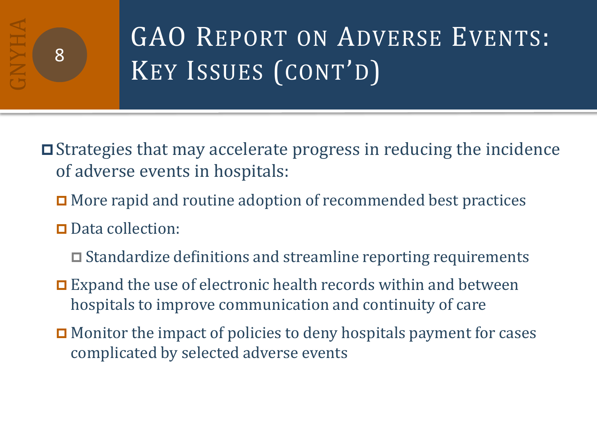# GAO REPORT ON ADVERSE EVENTS: KEY ISSUES (CONT'D)

Strategies that may accelerate progress in reducing the incidence of adverse events in hospitals:

- **□** More rapid and routine adoption of recommended best practices
- Data collection:
	- $\Box$  Standardize definitions and streamline reporting requirements
- $\Box$  Expand the use of electronic health records within and between hospitals to improve communication and continuity of care
- **□** Monitor the impact of policies to deny hospitals payment for cases complicated by selected adverse events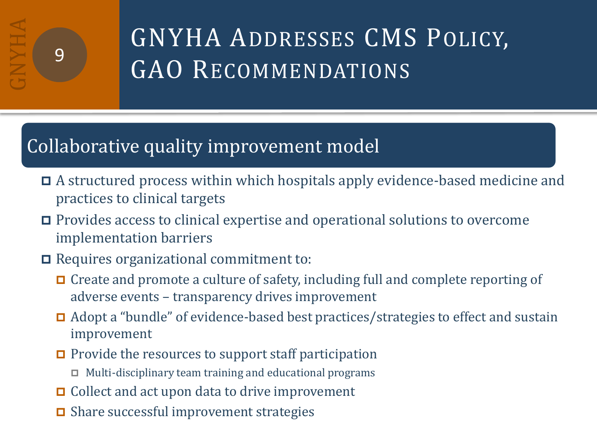# GNYHA ADDRESSES CMS POLICY, GAO RECOMMENDATIONS

## Collaborative quality improvement model

- A structured process within which hospitals apply evidence-based medicine and practices to clinical targets
- Provides access to clinical expertise and operational solutions to overcome implementation barriers
- Requires organizational commitment to:
	- Create and promote a culture of safety, including full and complete reporting of adverse events – transparency drives improvement
	- Adopt a "bundle" of evidence-based best practices/strategies to effect and sustain improvement
	- $\Box$  Provide the resources to support staff participation
		- $\Box$  Multi-disciplinary team training and educational programs
	- **□** Collect and act upon data to drive improvement
	- **□** Share successful improvement strategies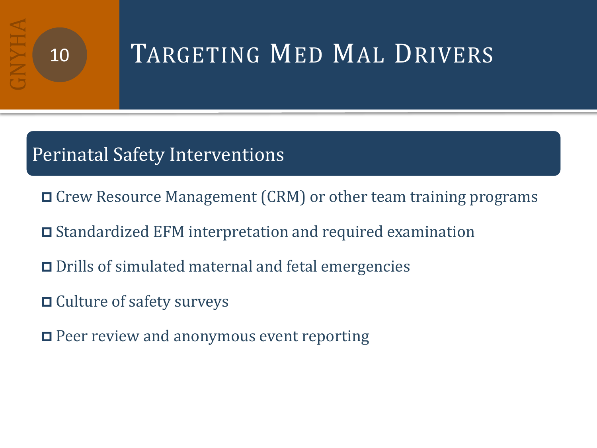# TARGETING MED MAL DRIVERS

## Perinatal Safety Interventions and teamworks and teamworks and teamworks and teamworks.

- □ Crew Resource Management (CRM) or other team training programs
- Standardized EFM interpretation and required examination
- Drills of simulated maternal and fetal emergencies
- **□** Culture of safety surveys
- $\Box$  Peer review and anonymous event reporting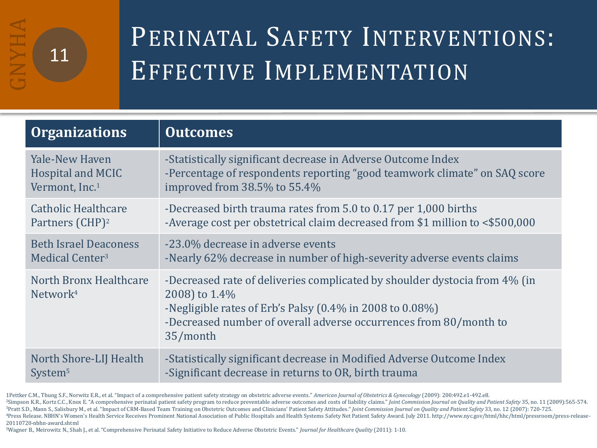# PERINATAL SAFETY INTERVENTIONS: EFFECTIVE IMPLEMENTATION

| <b>Organizations</b>                           | <b>Outcomes</b>                                                                                                                                                                                                                          |
|------------------------------------------------|------------------------------------------------------------------------------------------------------------------------------------------------------------------------------------------------------------------------------------------|
| <b>Yale-New Haven</b>                          | -Statistically significant decrease in Adverse Outcome Index                                                                                                                                                                             |
| Hospital and MCIC                              | -Percentage of respondents reporting "good teamwork climate" on SAQ score                                                                                                                                                                |
| Vermont, Inc. <sup>1</sup>                     | improved from 38.5% to 55.4%                                                                                                                                                                                                             |
| <b>Catholic Healthcare</b>                     | -Decreased birth trauma rates from 5.0 to 0.17 per 1,000 births                                                                                                                                                                          |
| Partners (CHP) <sup>2</sup>                    | -Average cost per obstetrical claim decreased from \$1 million to <\$500,000                                                                                                                                                             |
| <b>Beth Israel Deaconess</b>                   | -23.0% decrease in adverse events                                                                                                                                                                                                        |
| Medical Center <sup>3</sup>                    | -Nearly 62% decrease in number of high-severity adverse events claims                                                                                                                                                                    |
| North Bronx Healthcare<br>Network <sup>4</sup> | -Decreased rate of deliveries complicated by shoulder dystocia from 4% (in<br>2008) to 1.4%<br>-Negligible rates of Erb's Palsy (0.4% in 2008 to 0.08%)<br>-Decreased number of overall adverse occurrences from 80/month to<br>35/month |
| North Shore-LIJ Health                         | -Statistically significant decrease in Modified Adverse Outcome Index                                                                                                                                                                    |
| System <sup>5</sup>                            | -Significant decrease in returns to OR, birth trauma                                                                                                                                                                                     |

1Pettker C.M., Thung S.F., Norwitz E.R., et al. "Impact of a comprehensive patient safety strategy on obstetric adverse events." *American Journal of Obstetrics & Gynecology* (2009): 200:492.e1-492.e8.

<sup>2</sup>Simpson K.R., Kortz C.C., Knox E. "A comprehensive perinatal patient safety program to reduce preventable adverse outcomes and costs of liability claims." Joint Commission Journal on Quality and Patient Safety 35, no. 1 <sup>3</sup>Pratt S.D., Mann S., Salisbury M., et al. "Impact of CRM-Based Team Training on Obstetric Outcomes and Clinicians' Patient Safety Attitudes." *Joint Commission Journal on Ouality and Patient Safety* 33, no. 12 (2007): 7 4Press Release. NBHN's Women's Health Service Receives Prominent National Association of Public Hospitals and Health Systems Safety Net Patient Safety Award. July 2011. http://www.nyc.gov/html/hhc/html/pressroom/press-rele 20110720-nbhn-award.shtml

<sup>5</sup>Wagner B., Meirowitz N., Shah J., et al. "Comprehensive Perinatal Safety Initiative to Reduce Adverse Obstetric Events." *Journal for Healthcare Quality* (2011): 1-10.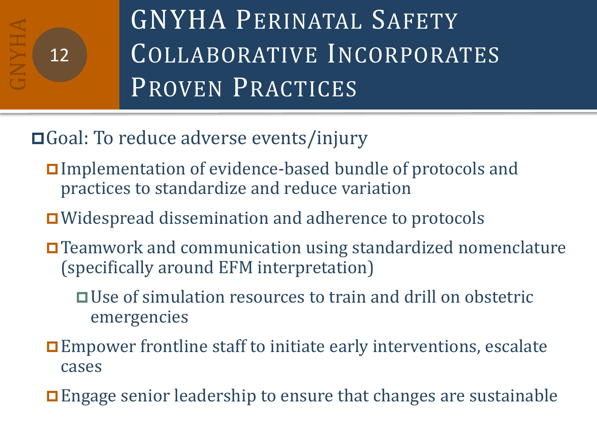

GNYHA PERINATAL SAFETY COLLABORATIVE INCORPORATES PROVEN PRACTICES

## □Goal: To reduce adverse events/injury

- Implementation of evidence-based bundle of protocols and practices to standardize and reduce variation
- Widespread dissemination and adherence to protocols
- Teamwork and communication using standardized nomenclature (specifically around EFM interpretation)
	- Use of simulation resources to train and drill on obstetric emergencies
- Empower frontline staff to initiate early interventions, escalate cases
- Engage senior leadership to ensure that changes are sustainable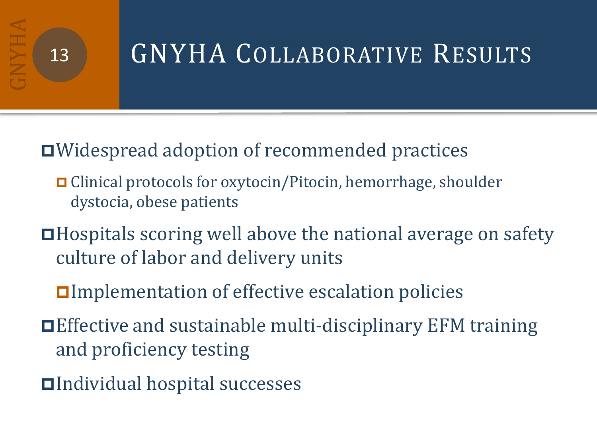# 13 GNYHA COLLABORATIVE RESULTS

## Widespread adoption of recommended practices

- Clinical protocols for oxytocin/Pitocin, hemorrhage, shoulder dystocia, obese patients
- Hospitals scoring well above the national average on safety culture of labor and delivery units
	- Implementation of effective escalation policies
- Effective and sustainable multi-disciplinary EFM training and proficiency testing
- Individual hospital successes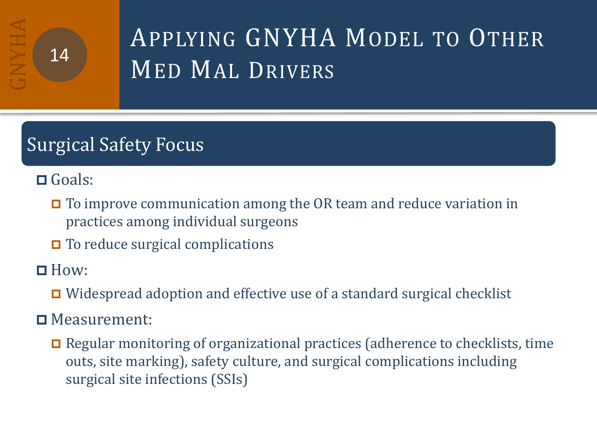# APPLYING GNYHA MODEL TO OTHER MED MAL DRIVERS

## Surgical Safety Focus

Goals:

**□** To improve communication among the OR team and reduce variation in practices among individual surgeons

 $\Box$  To reduce surgical complications

 $\Box$  How:

Widespread adoption and effective use of a standard surgical checklist

Measurement:

 $\Box$  Regular monitoring of organizational practices (adherence to checklists, time outs, site marking), safety culture, and surgical complications including surgical site infections (SSIs)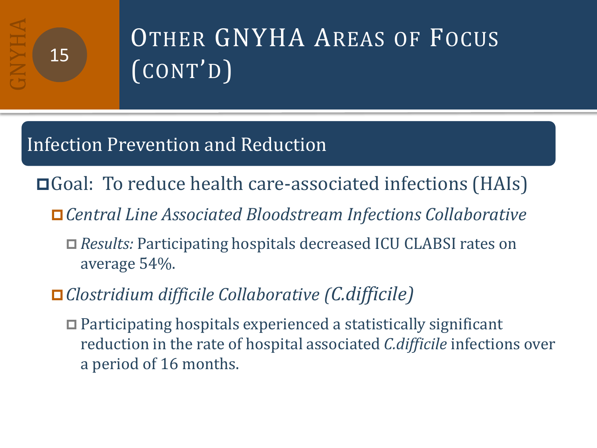# OTHER GNYHA AREAS OF FOCUS (CONT'D)

## Infection Prevention and Reduction

- Goal: To reduce health care-associated infections (HAIs)
	- *Central Line Associated Bloodstream Infections Collaborative*
		- *Results:* Participating hospitals decreased ICU CLABSI rates on average 54%.
	- *Clostridium difficile Collaborative (C.difficile)*
		- Participating hospitals experienced a statistically significant reduction in the rate of hospital associated *C.difficile* infections over a period of 16 months.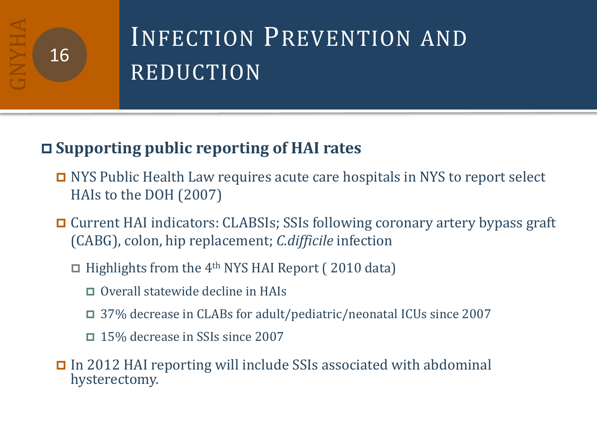# INFECTION PREVENTION AND REDUCTION

## **Supporting public reporting of HAI rates**

- NYS Public Health Law requires acute care hospitals in NYS to report select HAIs to the DOH (2007)
- Current HAI indicators: CLABSIs; SSIs following coronary artery bypass graft (CABG), colon, hip replacement; *C.difficile* infection
	- $\Box$  Highlights from the 4<sup>th</sup> NYS HAI Report (2010 data)
		- **□** Overall statewide decline in HAIs
		- 37% decrease in CLABs for adult/pediatric/neonatal ICUs since 2007
		- 15% decrease in SSIs since 2007

 In 2012 HAI reporting will include SSIs associated with abdominal hysterectomy.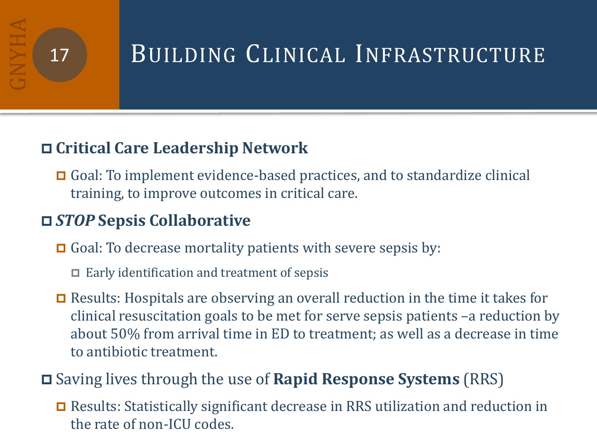## 17 BUILDING CLINICAL INFRASTRUCTURE

### **Critical Care Leadership Network**

 Goal: To implement evidence-based practices, and to standardize clinical training, to improve outcomes in critical care.

## *STOP* **Sepsis Collaborative**

- $\Box$  Goal: To decrease mortality patients with severe sepsis by:
	- $\Box$  Early identification and treatment of sepsis
- $\Box$  Results: Hospitals are observing an overall reduction in the time it takes for clinical resuscitation goals to be met for serve sepsis patients –a reduction by about 50% from arrival time in ED to treatment; as well as a decrease in time to antibiotic treatment.

## Saving lives through the use of **Rapid Response Systems** (RRS)

 Results: Statistically significant decrease in RRS utilization and reduction in the rate of non-ICU codes.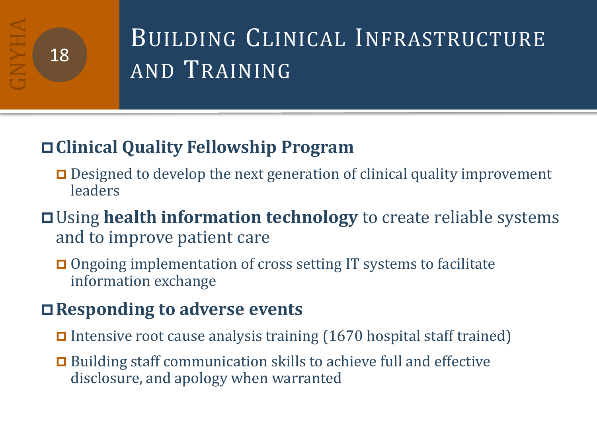# BUILDING CLINICAL INFRASTRUCTURE AND TRAINING

## **Clinical Quality Fellowship Program**

- $\Box$  Designed to develop the next generation of clinical quality improvement leaders
- Using **health information technology** to create reliable systems and to improve patient care
	- **□** Ongoing implementation of cross setting IT systems to facilitate information exchange

## **Responding to adverse events**

- Intensive root cause analysis training  $(1670$  hospital staff trained)
- **□** Building staff communication skills to achieve full and effective disclosure, and apology when warranted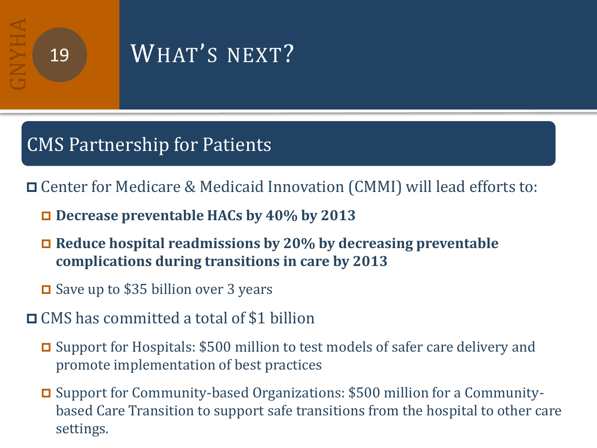## 19 WHAT'S NEXT?

## CMS Partnership for Patients

Center for Medicare & Medicaid Innovation (CMMI) will lead efforts to:

- **Decrease preventable HACs by 40% by 2013**
- **Reduce hospital readmissions by 20% by decreasing preventable complications during transitions in care by 2013**
- **□** Save up to \$35 billion over 3 years
- **□ CMS has committed a total of \$1 billion** 
	- □ Support for Hospitals: \$500 million to test models of safer care delivery and promote implementation of best practices
	- Support for Community-based Organizations: \$500 million for a Communitybased Care Transition to support safe transitions from the hospital to other care settings.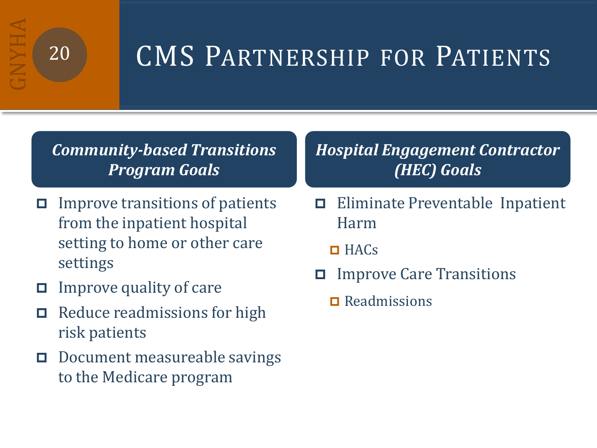# 20 CMS PARTNERSHIP FOR PATIENTS

*Community-based Transitions Program Goals*

- $\Box$  Improve transitions of patients from the inpatient hospital setting to home or other care settings
- $\Box$  Improve quality of care
- $\Box$  Reduce readmissions for high risk patients
- D Document measureable savings to the Medicare program

#### *Hospital Engagement Contractor (HEC) Goals*

- Eliminate Preventable Inpatient Harm
	- $HACS$
- Improve Care Transitions
	- $\Box$  Readmissions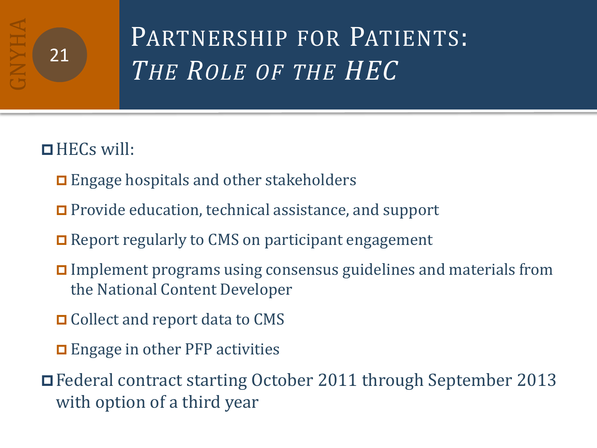# PARTNERSHIP FOR PATIENTS: *THE ROLE OF THE HEC* <sup>21</sup>

## $HECs$  will:

- $\Box$  Engage hospitals and other stakeholders
- Provide education, technical assistance, and support
- **□** Report regularly to CMS on participant engagement
- Implement programs using consensus guidelines and materials from the National Content Developer
- **□** Collect and report data to CMS
- **□** Engage in other PFP activities
- Federal contract starting October 2011 through September 2013 with option of a third year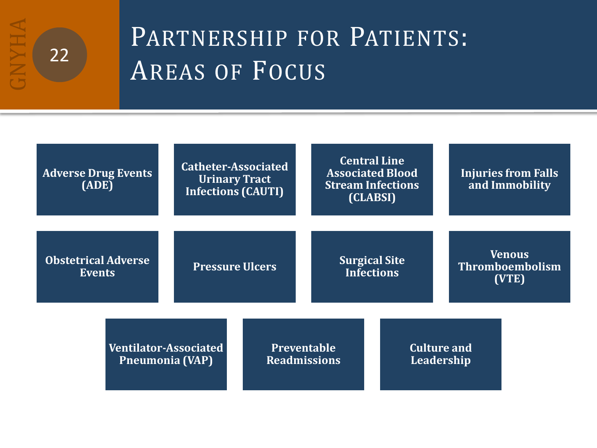

# PARTNERSHIP FOR PATIENTS: AREAS OF FOCUS

| <b>Adverse Drug Events</b><br>(ADE)                    |                        | <b>Central Line</b><br>Catheter-Associated<br><b>Associated Blood</b><br><b>Urinary Tract</b><br><b>Stream Infections</b><br><b>Infections (CAUTI)</b><br>(CLABSI) |                                           | <b>Injuries from Falls</b><br>and Immobility |                                  |                                                  |  |
|--------------------------------------------------------|------------------------|--------------------------------------------------------------------------------------------------------------------------------------------------------------------|-------------------------------------------|----------------------------------------------|----------------------------------|--------------------------------------------------|--|
| <b>Obstetrical Adverse</b><br><b>Events</b>            | <b>Pressure Ulcers</b> |                                                                                                                                                                    | <b>Surgical Site</b><br><b>Infections</b> |                                              |                                  | <b>Venous</b><br><b>Thromboembolism</b><br>(VTE) |  |
| <b>Ventilator-Associated</b><br><b>Pneumonia (VAP)</b> |                        | <b>Preventable</b><br><b>Readmissions</b>                                                                                                                          |                                           |                                              | <b>Culture and</b><br>Leadership |                                                  |  |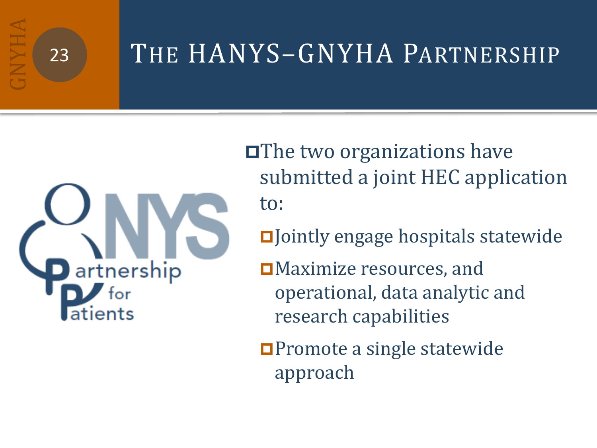# 23 THE HANYS-GNYHA PARTNERSHIP

artnership atients

**□The two organizations have** submitted a joint HEC application to:

DJ ointly engage hospitals statewide

**□Maximize resources, and** operational, data analytic and research capabilities

**□Promote a single statewide** approach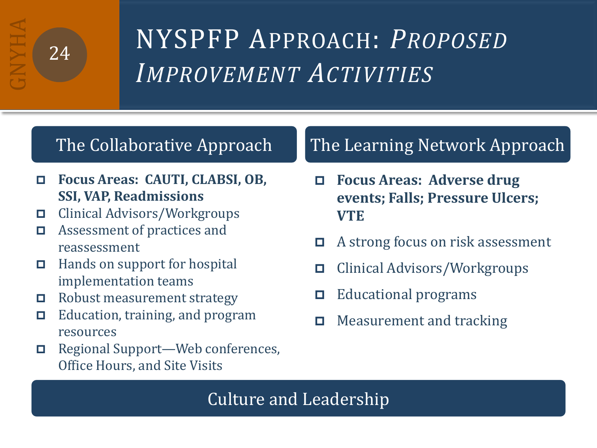# <sup>24</sup> NYSPFP APPROACH: *PROPOSED IMPROVEMENT ACTIVITIES*

- **Focus Areas: CAUTI, CLABSI, OB, SSI, VAP, Readmissions**
- Clinical Advisors/Workgroups
- □ Assessment of practices and reassessment
- $\Box$  Hands on support for hospital implementation teams
- Robust measurement strategy
- $\Box$  Education, training, and program resources
- Regional Support—Web conferences, Office Hours, and Site Visits

## The Collaborative Approach The Learning Network Approach

- **Focus Areas: Adverse drug events; Falls; Pressure Ulcers; VTE**
- □ A strong focus on risk assessment
- Clinical Advisors/Workgroups
- $\Box$  Educational programs
- $\Box$  Measurement and tracking

#### Culture and Leadership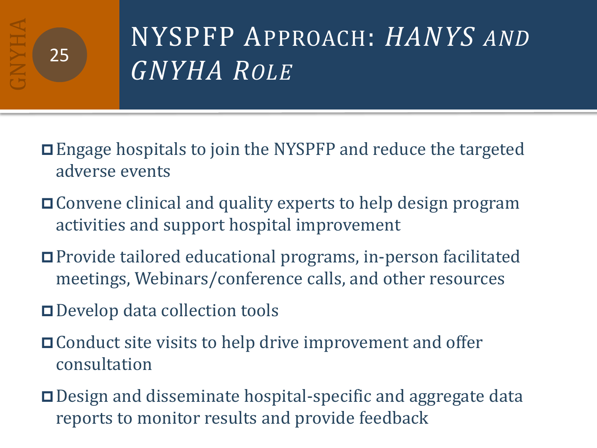# NYSPFP APPROACH: *HANYS AND GNYHA ROLE*

- Engage hospitals to join the NYSPFP and reduce the targeted adverse events
- Convene clinical and quality experts to help design program activities and support hospital improvement
- Provide tailored educational programs, in-person facilitated meetings, Webinars/conference calls, and other resources
- Develop data collection tools
- **□ Conduct site visits to help drive improvement and offer** consultation
- **□** Design and disseminate hospital-specific and aggregate data reports to monitor results and provide feedback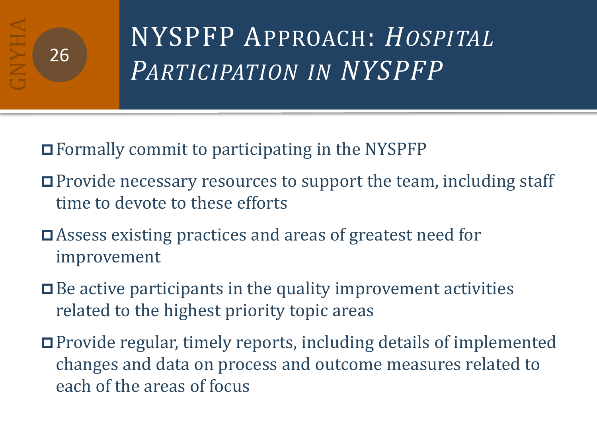# NYSPFP APPROACH: *HOSPITAL PARTICIPATION IN NYSPFP* <sup>26</sup>

Formally commit to participating in the NYSPFP

- **□** Provide necessary resources to support the team, including staff time to devote to these efforts
- Assess existing practices and areas of greatest need for improvement
- $\Box$  Be active participants in the quality improvement activities related to the highest priority topic areas
- Provide regular, timely reports, including details of implemented changes and data on process and outcome measures related to each of the areas of focus